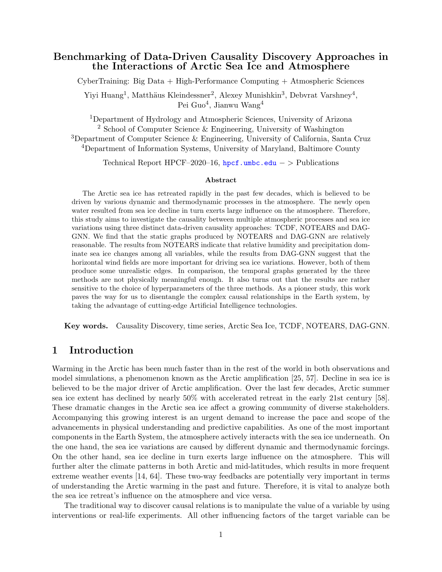## Benchmarking of Data-Driven Causality Discovery Approaches in the Interactions of Arctic Sea Ice and Atmosphere

CyberTraining: Big Data + High-Performance Computing + Atmospheric Sciences

Yiyi Huang<sup>1</sup>, Matthäus Kleindessner<sup>2</sup>, Alexey Munishkin<sup>3</sup>, Debvrat Varshney<sup>4</sup>, Pei Guo $^4$ , Jianwu Wang $^4$ 

Department of Hydrology and Atmospheric Sciences, University of Arizona School of Computer Science & Engineering, University of Washington Department of Computer Science & Engineering, University of California, Santa Cruz Department of Information Systems, University of Maryland, Baltimore County

Technical Report HPCF–2020–16, <hpcf.umbc.edu> – > Publications

#### Abstract

The Arctic sea ice has retreated rapidly in the past few decades, which is believed to be driven by various dynamic and thermodynamic processes in the atmosphere. The newly open water resulted from sea ice decline in turn exerts large influence on the atmosphere. Therefore, this study aims to investigate the causality between multiple atmospheric processes and sea ice variations using three distinct data-driven causality approaches: TCDF, NOTEARS and DAG-GNN. We find that the static graphs produced by NOTEARS and DAG-GNN are relatively reasonable. The results from NOTEARS indicate that relative humidity and precipitation dominate sea ice changes among all variables, while the results from DAG-GNN suggest that the horizontal wind fields are more important for driving sea ice variations. However, both of them produce some unrealistic edges. In comparison, the temporal graphs generated by the three methods are not physically meaningful enough. It also turns out that the results are rather sensitive to the choice of hyperparameters of the three methods. As a pioneer study, this work paves the way for us to disentangle the complex causal relationships in the Earth system, by taking the advantage of cutting-edge Artificial Intelligence technologies.

Key words. Causality Discovery, time series, Arctic Sea Ice, TCDF, NOTEARS, DAG-GNN.

## 1 Introduction

Warming in the Arctic has been much faster than in the rest of the world in both observations and model simulations, a phenomenon known as the Arctic amplification [\[25,](#page-17-0) [57\]](#page-19-0). Decline in sea ice is believed to be the major driver of Arctic amplification. Over the last few decades, Arctic summer sea ice extent has declined by nearly 50% with accelerated retreat in the early 21st century [\[58\]](#page-20-0). These dramatic changes in the Arctic sea ice affect a growing community of diverse stakeholders. Accompanying this growing interest is an urgent demand to increase the pace and scope of the advancements in physical understanding and predictive capabilities. As one of the most important components in the Earth System, the atmosphere actively interacts with the sea ice underneath. On the one hand, the sea ice variations are caused by different dynamic and thermodynamic forcings. On the other hand, sea ice decline in turn exerts large influence on the atmosphere. This will further alter the climate patterns in both Arctic and mid-latitudes, which results in more frequent extreme weather events [\[14,](#page-17-1) [64\]](#page-20-1). These two-way feedbacks are potentially very important in terms of understanding the Arctic warming in the past and future. Therefore, it is vital to analyze both the sea ice retreat's influence on the atmosphere and vice versa.

The traditional way to discover causal relations is to manipulate the value of a variable by using interventions or real-life experiments. All other influencing factors of the target variable can be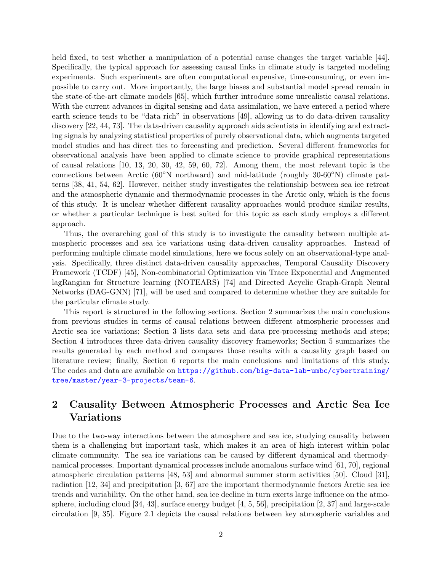held fixed, to test whether a manipulation of a potential cause changes the target variable [\[44\]](#page-19-1). Specifically, the typical approach for assessing causal links in climate study is targeted modeling experiments. Such experiments are often computational expensive, time-consuming, or even impossible to carry out. More importantly, the large biases and substantial model spread remain in the state-of-the-art climate models [\[65\]](#page-20-2), which further introduce some unrealistic causal relations. With the current advances in digital sensing and data assimilation, we have entered a period where earth science tends to be "data rich" in observations [\[49\]](#page-19-2), allowing us to do data-driven causality discovery [\[22,](#page-17-2) [44,](#page-19-1) [73\]](#page-21-0). The data-driven causality approach aids scientists in identifying and extracting signals by analyzing statistical properties of purely observational data, which augments targeted model studies and has direct ties to forecasting and prediction. Several different frameworks for observational analysis have been applied to climate science to provide graphical representations of causal relations [\[10,](#page-17-3) [13,](#page-17-4) [20,](#page-17-5) [30,](#page-18-0) [42,](#page-19-3) [59,](#page-20-3) [60,](#page-20-4) [72\]](#page-20-5). Among them, the most relevant topic is the connections between Arctic (60◦N northward) and mid-latitude (roughly 30-60◦N) climate patterns [\[38,](#page-18-1) [41,](#page-19-4) [54,](#page-19-5) [62\]](#page-20-6). However, neither study investigates the relationship between sea ice retreat and the atmospheric dynamic and thermodynamic processes in the Arctic only, which is the focus of this study. It is unclear whether different causality approaches would produce similar results, or whether a particular technique is best suited for this topic as each study employs a different approach.

Thus, the overarching goal of this study is to investigate the causality between multiple atmospheric processes and sea ice variations using data-driven causality approaches. Instead of performing multiple climate model simulations, here we focus solely on an observational-type analysis. Specifically, three distinct data-driven causality approaches, Temporal Causality Discovery Framework (TCDF) [\[45\]](#page-19-6), Non-combinatorial Optimization via Trace Exponential and Augmented lagRangian for Structure learning (NOTEARS) [\[74\]](#page-21-1) and Directed Acyclic Graph-Graph Neural Networks (DAG-GNN) [\[71\]](#page-20-7), will be used and compared to determine whether they are suitable for the particular climate study.

This report is structured in the following sections. Section [2](#page-1-0) summarizes the main conclusions from previous studies in terms of causal relations between different atmospheric processes and Arctic sea ice variations; Section [3](#page-4-0) lists data sets and data pre-processing methods and steps; Section [4](#page-5-0) introduces three data-driven causality discovery frameworks; Section [5](#page-8-0) summarizes the results generated by each method and compares those results with a causality graph based on literature review; finally, Section [6](#page-15-0) reports the main conclusions and limitations of this study. The codes and data are available on [https://github.com/big-data-lab-umbc/cybertraining/](https://github.com/big-data-lab-umbc/cybertraining/tree/master/year-3-projects/team-6) [tree/master/year-3-projects/team-6](https://github.com/big-data-lab-umbc/cybertraining/tree/master/year-3-projects/team-6).

# <span id="page-1-0"></span>2 Causality Between Atmospheric Processes and Arctic Sea Ice Variations

Due to the two-way interactions between the atmosphere and sea ice, studying causality between them is a challenging but important task, which makes it an area of high interest within polar climate community. The sea ice variations can be caused by different dynamical and thermodynamical processes. Important dynamical processes include anomalous surface wind [\[61,](#page-20-8) [70\]](#page-20-9), regional atmospheric circulation patterns [\[48,](#page-19-7) [53\]](#page-19-8) and abnormal summer storm activities [\[50\]](#page-19-9). Cloud [\[31\]](#page-18-2), radiation [\[12,](#page-17-6) [34\]](#page-18-3) and precipitation [\[3,](#page-16-0) [67\]](#page-20-10) are the important thermodynamic factors Arctic sea ice trends and variability. On the other hand, sea ice decline in turn exerts large influence on the atmosphere, including cloud [\[34,](#page-18-3) [43\]](#page-19-10), surface energy budget [\[4,](#page-16-1) [5,](#page-16-2) [56\]](#page-19-11), precipitation [\[2,](#page-16-3) [37\]](#page-18-4) and large-scale circulation [\[9,](#page-16-4) [35\]](#page-18-5). Figure [2.1](#page-2-0) depicts the causal relations between key atmospheric variables and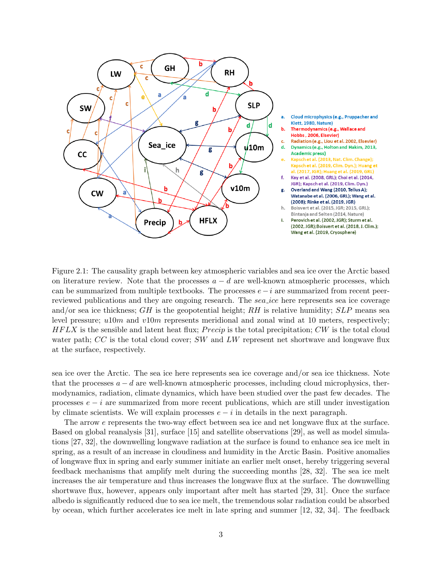

<span id="page-2-0"></span>Figure 2.1: The causality graph between key atmospheric variables and sea ice over the Arctic based on literature review. Note that the processes  $a - d$  are well-known atmospheric processes, which can be summarized from multiple textbooks. The processes  $e-i$  are summarized from recent peerreviewed publications and they are ongoing research. The *sea ice* here represents sea ice coverage and/or sea ice thickness;  $GH$  is the geopotential height;  $RH$  is relative humidity;  $SLP$  means sea level pressure;  $u10m$  and  $v10m$  represents meridional and zonal wind at 10 meters, respectively;  $HFLX$  is the sensible and latent heat flux; Precip is the total precipitation; CW is the total cloud water path;  $CC$  is the total cloud cover;  $SW$  and  $LW$  represent net shortwave and longwave flux at the surface, respectively.

sea ice over the Arctic. The sea ice here represents sea ice coverage and/or sea ice thickness. Note that the processes  $a - d$  are well-known atmospheric processes, including cloud microphysics, thermodynamics, radiation, climate dynamics, which have been studied over the past few decades. The processes  $e - i$  are summarized from more recent publications, which are still under investigation by climate scientists. We will explain processes  $e - i$  in details in the next paragraph.

The arrow e represents the two-way effect between sea ice and net longwave flux at the surface. Based on global reanalysis [\[31\]](#page-18-2), surface [\[15\]](#page-17-7) and satellite observations [\[29\]](#page-18-6), as well as model simulations [\[27,](#page-18-7) [32\]](#page-18-8), the downwelling longwave radiation at the surface is found to enhance sea ice melt in spring, as a result of an increase in cloudiness and humidity in the Arctic Basin. Positive anomalies of longwave flux in spring and early summer initiate an earlier melt onset, hereby triggering several feedback mechanisms that amplify melt during the succeeding months [\[28,](#page-18-9) [32\]](#page-18-8). The sea ice melt increases the air temperature and thus increases the longwave flux at the surface. The downwelling shortwave flux, however, appears only important after melt has started [\[29,](#page-18-6) [31\]](#page-18-2). Once the surface albedo is significantly reduced due to sea ice melt, the tremendous solar radiation could be absorbed by ocean, which further accelerates ice melt in late spring and summer [\[12,](#page-17-6) [32,](#page-18-8) [34\]](#page-18-3). The feedback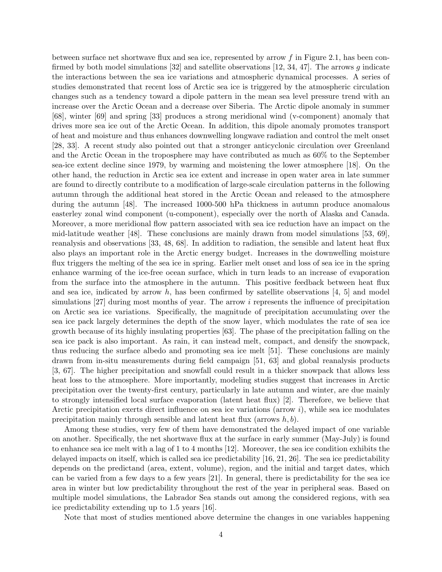between surface net shortwave flux and sea ice, represented by arrow f in Figure [2.1,](#page-2-0) has been con-firmed by both model simulations [\[32\]](#page-18-8) and satellite observations [\[12,](#page-17-6) [34,](#page-18-3) [47\]](#page-19-12). The arrows g indicate the interactions between the sea ice variations and atmospheric dynamical processes. A series of studies demonstrated that recent loss of Arctic sea ice is triggered by the atmospheric circulation changes such as a tendency toward a dipole pattern in the mean sea level pressure trend with an increase over the Arctic Ocean and a decrease over Siberia. The Arctic dipole anomaly in summer [\[68\]](#page-20-11), winter [\[69\]](#page-20-12) and spring [\[33\]](#page-18-10) produces a strong meridional wind (v-component) anomaly that drives more sea ice out of the Arctic Ocean. In addition, this dipole anomaly promotes transport of heat and moisture and thus enhances downwelling longwave radiation and control the melt onset [\[28,](#page-18-9) [33\]](#page-18-10). A recent study also pointed out that a stronger anticyclonic circulation over Greenland and the Arctic Ocean in the troposphere may have contributed as much as 60% to the September sea-ice extent decline since 1979, by warming and moistening the lower atmosphere [\[18\]](#page-17-8). On the other hand, the reduction in Arctic sea ice extent and increase in open water area in late summer are found to directly contribute to a modification of large-scale circulation patterns in the following autumn through the additional heat stored in the Arctic Ocean and released to the atmosphere during the autumn [\[48\]](#page-19-7). The increased 1000-500 hPa thickness in autumn produce anomalous easterley zonal wind component (u-component), especially over the north of Alaska and Canada. Moreover, a more meridional flow pattern associated with sea ice reduction have an impact on the mid-latitude weather [\[48\]](#page-19-7). These conclusions are mainly drawn from model simulations [\[53,](#page-19-8) [69\]](#page-20-12), reanalysis and observations [\[33,](#page-18-10) [48,](#page-19-7) [68\]](#page-20-11). In addition to radiation, the sensible and latent heat flux also plays an important role in the Arctic energy budget. Increases in the downwelling moisture flux triggers the melting of the sea ice in spring. Earlier melt onset and loss of sea ice in the spring enhance warming of the ice-free ocean surface, which in turn leads to an increase of evaporation from the surface into the atmosphere in the autumn. This positive feedback between heat flux and sea ice, indicated by arrow h, has been confirmed by satellite observations  $[4, 5]$  $[4, 5]$  $[4, 5]$  and model simulations  $[27]$  during most months of year. The arrow i represents the influence of precipitation on Arctic sea ice variations. Specifically, the magnitude of precipitation accumulating over the sea ice pack largely determines the depth of the snow layer, which modulates the rate of sea ice growth because of its highly insulating properties [\[63\]](#page-20-13). The phase of the precipitation falling on the sea ice pack is also important. As rain, it can instead melt, compact, and densify the snowpack, thus reducing the surface albedo and promoting sea ice melt [\[51\]](#page-19-13). These conclusions are mainly drawn from in-situ measurements during field campaign [\[51,](#page-19-13) [63\]](#page-20-13) and global reanalysis products [\[3,](#page-16-0) [67\]](#page-20-10). The higher precipitation and snowfall could result in a thicker snowpack that allows less heat loss to the atmosphere. More importantly, modeling studies suggest that increases in Arctic precipitation over the twenty-first century, particularly in late autumn and winter, are due mainly to strongly intensified local surface evaporation (latent heat flux) [\[2\]](#page-16-3). Therefore, we believe that Arctic precipitation exerts direct influence on sea ice variations (arrow  $i$ ), while sea ice modulates precipitation mainly through sensible and latent heat flux (arrows  $h, b$ ).

Among these studies, very few of them have demonstrated the delayed impact of one variable on another. Specifically, the net shortwave flux at the surface in early summer (May-July) is found to enhance sea ice melt with a lag of 1 to 4 months [\[12\]](#page-17-6). Moreover, the sea ice condition exhibits the delayed impacts on itself, which is called sea ice predictability [\[16,](#page-17-9) [21,](#page-17-10) [26\]](#page-18-11). The sea ice predictability depends on the predictand (area, extent, volume), region, and the initial and target dates, which can be varied from a few days to a few years [\[21\]](#page-17-10). In general, there is predictability for the sea ice area in winter but low predictability throughout the rest of the year in peripheral seas. Based on multiple model simulations, the Labrador Sea stands out among the considered regions, with sea ice predictability extending up to 1.5 years [\[16\]](#page-17-9).

Note that most of studies mentioned above determine the changes in one variables happening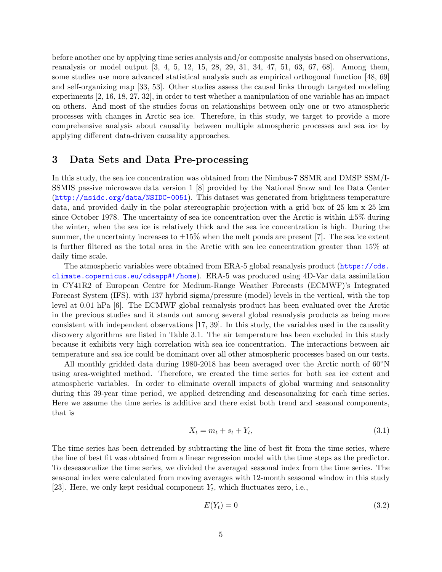before another one by applying time series analysis and/or composite analysis based on observations, reanalysis or model output [\[3,](#page-16-0) [4,](#page-16-1) [5,](#page-16-2) [12,](#page-17-6) [15,](#page-17-7) [28,](#page-18-9) [29,](#page-18-6) [31,](#page-18-2) [34,](#page-18-3) [47,](#page-19-12) [51,](#page-19-13) [63,](#page-20-13) [67,](#page-20-10) [68\]](#page-20-11). Among them, some studies use more advanced statistical analysis such as empirical orthogonal function [\[48,](#page-19-7) [69\]](#page-20-12) and self-organizing map [\[33,](#page-18-10) [53\]](#page-19-8). Other studies assess the causal links through targeted modeling experiments [\[2,](#page-16-3) [16,](#page-17-9) [18,](#page-17-8) [27,](#page-18-7) [32\]](#page-18-8), in order to test whether a manipulation of one variable has an impact on others. And most of the studies focus on relationships between only one or two atmospheric processes with changes in Arctic sea ice. Therefore, in this study, we target to provide a more comprehensive analysis about causality between multiple atmospheric processes and sea ice by applying different data-driven causality approaches.

## <span id="page-4-0"></span>3 Data Sets and Data Pre-processing

In this study, the sea ice concentration was obtained from the Nimbus-7 SSMR and DMSP SSM/I-SSMIS passive microwave data version 1 [\[8\]](#page-16-5) provided by the National Snow and Ice Data Center (<http://nsidc.org/data/NSIDC-0051>). This dataset was generated from brightness temperature data, and provided daily in the polar stereographic projection with a grid box of 25 km x 25 km since October 1978. The uncertainty of sea ice concentration over the Arctic is within  $\pm 5\%$  during the winter, when the sea ice is relatively thick and the sea ice concentration is high. During the summer, the uncertainty increases to  $\pm 15\%$  when the melt ponds are present [\[7\]](#page-16-6). The sea ice extent is further filtered as the total area in the Arctic with sea ice concentration greater than 15% at daily time scale.

The atmospheric variables were obtained from ERA-5 global reanalysis product ([https://cds.](https://cds.climate.copernicus.eu/cdsapp#!/home) [climate.copernicus.eu/cdsapp#!/home](https://cds.climate.copernicus.eu/cdsapp#!/home)). ERA-5 was produced using 4D-Var data assimilation in CY41R2 of European Centre for Medium-Range Weather Forecasts (ECMWF)'s Integrated Forecast System (IFS), with 137 hybrid sigma/pressure (model) levels in the vertical, with the top level at 0.01 hPa [\[6\]](#page-16-7). The ECMWF global reanalysis product has been evaluated over the Arctic in the previous studies and it stands out among several global reanalysis products as being more consistent with independent observations [\[17,](#page-17-11) [39\]](#page-18-12). In this study, the variables used in the causality discovery algorithms are listed in Table [3.1.](#page-5-1) The air temperature has been excluded in this study because it exhibits very high correlation with sea ice concentration. The interactions between air temperature and sea ice could be dominant over all other atmospheric processes based on our tests.

All monthly gridded data during 1980-2018 has been averaged over the Arctic north of 60◦N using area-weighted method. Therefore, we created the time series for both sea ice extent and atmospheric variables. In order to eliminate overall impacts of global warming and seasonality during this 39-year time period, we applied detrending and deseasonalizing for each time series. Here we assume the time series is additive and there exist both trend and seasonal components, that is

$$
X_t = m_t + s_t + Y_t,\tag{3.1}
$$

The time series has been detrended by subtracting the line of best fit from the time series, where the line of best fit was obtained from a linear regression model with the time steps as the predictor. To deseasonalize the time series, we divided the averaged seasonal index from the time series. The seasonal index were calculated from moving averages with 12-month seasonal window in this study [\[23\]](#page-17-12). Here, we only kept residual component  $Y_t$ , which fluctuates zero, i.e.,

$$
E(Y_t) = 0 \tag{3.2}
$$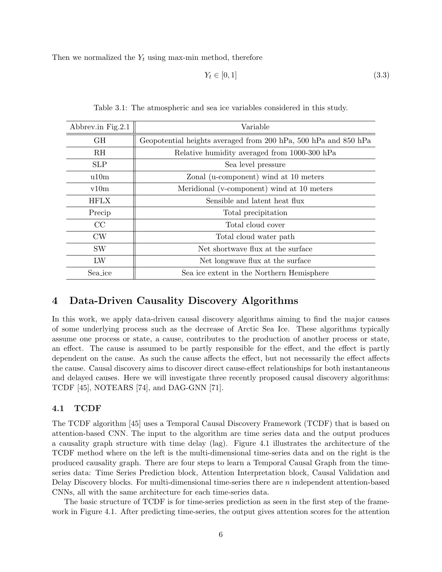Then we normalized the  $Y_t$  using max-min method, therefore

$$
Y_t \in [0, 1] \tag{3.3}
$$

<span id="page-5-1"></span>

| Abbrev.in Fig.2.1 | Variable                                                        |
|-------------------|-----------------------------------------------------------------|
| GH                | Geopotential heights averaged from 200 hPa, 500 hPa and 850 hPa |
| $R$ H             | Relative humidity averaged from 1000-300 hPa                    |
| <b>SLP</b>        | Sea level pressure                                              |
| u10m              | Zonal (u-component) wind at 10 meters                           |
| v10m              | Meridional (v-component) wind at 10 meters                      |
| <b>HFLX</b>       | Sensible and latent heat flux                                   |
| Precip            | Total precipitation                                             |
| CC                | Total cloud cover                                               |
| <b>CW</b>         | Total cloud water path                                          |
| SW                | Net shortwave flux at the surface                               |
| LW                | Net longwave flux at the surface                                |
| Sea_ice           | Sea ice extent in the Northern Hemisphere                       |

Table 3.1: The atmospheric and sea ice variables considered in this study.

## <span id="page-5-0"></span>4 Data-Driven Causality Discovery Algorithms

In this work, we apply data-driven causal discovery algorithms aiming to find the major causes of some underlying process such as the decrease of Arctic Sea Ice. These algorithms typically assume one process or state, a cause, contributes to the production of another process or state, an effect. The cause is assumed to be partly responsible for the effect, and the effect is partly dependent on the cause. As such the cause affects the effect, but not necessarily the effect affects the cause. Causal discovery aims to discover direct cause-effect relationships for both instantaneous and delayed causes. Here we will investigate three recently proposed causal discovery algorithms: TCDF [\[45\]](#page-19-6), NOTEARS [\[74\]](#page-21-1), and DAG-GNN [\[71\]](#page-20-7).

### 4.1 TCDF

The TCDF algorithm [\[45\]](#page-19-6) uses a Temporal Causal Discovery Framework (TCDF) that is based on attention-based CNN. The input to the algorithm are time series data and the output produces a causality graph structure with time delay (lag). Figure [4.1](#page-6-0) illustrates the architecture of the TCDF method where on the left is the multi-dimensional time-series data and on the right is the produced causality graph. There are four steps to learn a Temporal Causal Graph from the timeseries data: Time Series Prediction block, Attention Interpretation block, Causal Validation and Delay Discovery blocks. For multi-dimensional time-series there are  $n$  independent attention-based CNNs, all with the same architecture for each time-series data.

The basic structure of TCDF is for time-series prediction as seen in the first step of the framework in Figure [4.1.](#page-6-0) After predicting time-series, the output gives attention scores for the attention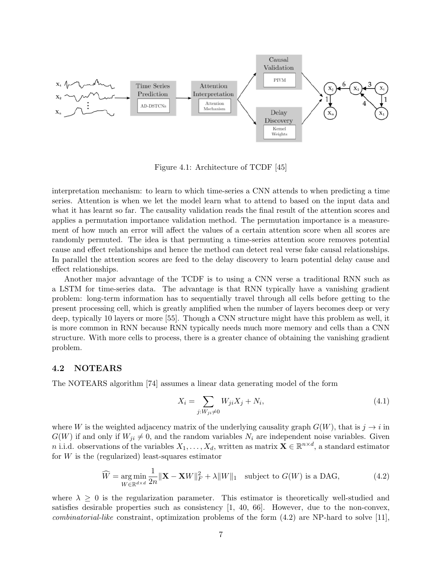

<span id="page-6-0"></span>Figure 4.1: Architecture of TCDF [\[45\]](#page-19-6)

interpretation mechanism: to learn to which time-series a CNN attends to when predicting a time series. Attention is when we let the model learn what to attend to based on the input data and what it has learnt so far. The causality validation reads the final result of the attention scores and applies a permutation importance validation method. The permutation importance is a measurement of how much an error will affect the values of a certain attention score when all scores are randomly permuted. The idea is that permuting a time-series attention score removes potential cause and effect relationships and hence the method can detect real verse fake causal relationships. In parallel the attention scores are feed to the delay discovery to learn potential delay cause and effect relationships.

Another major advantage of the TCDF is to using a CNN verse a traditional RNN such as a LSTM for time-series data. The advantage is that RNN typically have a vanishing gradient problem: long-term information has to sequentially travel through all cells before getting to the present processing cell, which is greatly amplified when the number of layers becomes deep or very deep, typically 10 layers or more [\[55\]](#page-19-14). Though a CNN structure might have this problem as well, it is more common in RNN because RNN typically needs much more memory and cells than a CNN structure. With more cells to process, there is a greater chance of obtaining the vanishing gradient problem.

#### <span id="page-6-3"></span>4.2 NOTEARS

The NOTEARS algorithm [\[74\]](#page-21-1) assumes a linear data generating model of the form

<span id="page-6-2"></span><span id="page-6-1"></span>
$$
X_i = \sum_{j: W_{ji} \neq 0} W_{ji} X_j + N_i,
$$
\n(4.1)

where W is the weighted adjacency matrix of the underlying causality graph  $G(W)$ , that is  $j \to i$  in  $G(W)$  if and only if  $W_{ji} \neq 0$ , and the random variables  $N_i$  are independent noise variables. Given n i.i.d. observations of the variables  $X_1, \ldots, X_d$ , written as matrix  $\mathbf{X} \in \mathbb{R}^{n \times d}$ , a standard estimator for  $W$  is the (regularized) least-squares estimator

$$
\widehat{W} = \underset{W \in \mathbb{R}^{d \times d}}{\arg \min} \frac{1}{2n} \|\mathbf{X} - \mathbf{X}W\|_{F}^{2} + \lambda \|W\|_{1} \quad \text{subject to } G(W) \text{ is a DAG},\tag{4.2}
$$

where  $\lambda \geq 0$  is the regularization parameter. This estimator is theoretically well-studied and satisfies desirable properties such as consistency [\[1,](#page-16-8) [40,](#page-18-13) [66\]](#page-20-14). However, due to the non-convex, *combinatorial-like* constraint, optimization problems of the form  $(4.2)$  are NP-hard to solve [\[11\]](#page-17-13),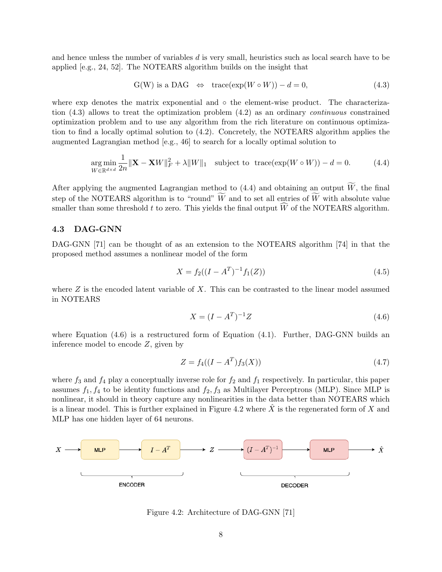and hence unless the number of variables d is very small, heuristics such as local search have to be applied [e.g., [24,](#page-17-14) [52\]](#page-19-15). The NOTEARS algorithm builds on the insight that

<span id="page-7-0"></span>
$$
G(W) \text{ is a DAG } \Leftrightarrow \text{ trace}(\exp(W \circ W)) - d = 0,
$$
\n
$$
(4.3)
$$

where exp denotes the matrix exponential and ∘ the element-wise product. The characterization  $(4.3)$  allows to treat the optimization problem  $(4.2)$  as an ordinary *continuous* constrained optimization problem and to use any algorithm from the rich literature on continuous optimization to find a locally optimal solution to [\(4.2\)](#page-6-1). Concretely, the NOTEARS algorithm applies the augmented Lagrangian method [e.g., [46\]](#page-19-16) to search for a locally optimal solution to

$$
\underset{W \in \mathbb{R}^{d \times d}}{\arg \min} \frac{1}{2n} \|\mathbf{X} - \mathbf{X}W\|_{F}^{2} + \lambda \|W\|_{1} \quad \text{subject to } \operatorname{trace}(\exp(W \circ W)) - d = 0. \tag{4.4}
$$

After applying the augmented Lagrangian method to [\(4.4\)](#page-7-1) and obtaining an output  $\widetilde{W}$ , the final step of the NOTEARS algorithm is to "round"  $\widetilde{W}$  and to set all entries of  $\widetilde{W}$  with absolute value smaller than some threshold t to zero. This yields the final output  $\widehat{W}$  of the NOTEARS algorithm.

#### 4.3 DAG-GNN

DAG-GNN [\[71\]](#page-20-7) can be thought of as an extension to the NOTEARS algorithm [\[74\]](#page-21-1) in that the proposed method assumes a nonlinear model of the form

<span id="page-7-1"></span>
$$
X = f_2((I - A^T)^{-1} f_1(Z))
$$
\n(4.5)

where  $Z$  is the encoded latent variable of  $X$ . This can be contrasted to the linear model assumed in NOTEARS

<span id="page-7-2"></span>
$$
X = (I - A^T)^{-1}Z
$$
\n(4.6)

where Equation  $(4.6)$  is a restructured form of Equation  $(4.1)$ . Further, DAG-GNN builds an inference model to encode Z, given by

$$
Z = f_4((I - A^T)f_3(X))
$$
\n(4.7)

where  $f_3$  and  $f_4$  play a conceptually inverse role for  $f_2$  and  $f_1$  respectively. In particular, this paper assumes  $f_1, f_4$  to be identity functions and  $f_2, f_3$  as Multilayer Perceptrons (MLP). Since MLP is nonlinear, it should in theory capture any nonlinearities in the data better than NOTEARS which is a linear model. This is further explained in Figure [4.2](#page-7-3) where  $\ddot{X}$  is the regenerated form of X and MLP has one hidden layer of 64 neurons.



<span id="page-7-3"></span>Figure 4.2: Architecture of DAG-GNN [\[71\]](#page-20-7)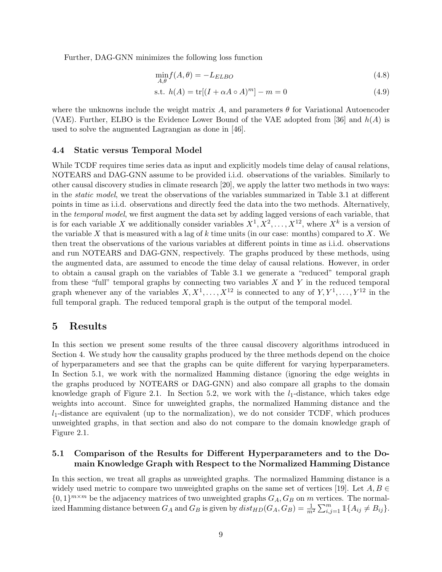Further, DAG-GNN minimizes the following loss function

$$
\min_{A,\theta} f(A,\theta) = -L_{ELBO} \tag{4.8}
$$

$$
\text{s.t. } h(A) = \text{tr}[(I + \alpha A \circ A)^m] - m = 0 \tag{4.9}
$$

where the unknowns include the weight matrix A, and parameters  $\theta$  for Variational Autoencoder (VAE). Further, ELBO is the Evidence Lower Bound of the VAE adopted from [\[36\]](#page-18-14) and  $h(A)$  is used to solve the augmented Lagrangian as done in [\[46\]](#page-19-16).

#### 4.4 Static versus Temporal Model

While TCDF requires time series data as input and explicitly models time delay of causal relations, NOTEARS and DAG-GNN assume to be provided i.i.d. observations of the variables. Similarly to other causal discovery studies in climate research [\[20\]](#page-17-5), we apply the latter two methods in two ways: in the static model, we treat the observations of the variables summarized in Table [3.1](#page-5-1) at different points in time as i.i.d. observations and directly feed the data into the two methods. Alternatively, in the temporal model, we first augment the data set by adding lagged versions of each variable, that is for each variable X we additionally consider variables  $X^1, X^2, \ldots, X^{12}$ , where  $X^k$  is a version of the variable X that is measured with a lag of  $k$  time units (in our case: months) compared to X. We then treat the observations of the various variables at different points in time as i.i.d. observations and run NOTEARS and DAG-GNN, respectively. The graphs produced by these methods, using the augmented data, are assumed to encode the time delay of causal relations. However, in order to obtain a causal graph on the variables of Table [3.1](#page-5-1) we generate a "reduced" temporal graph from these "full" temporal graphs by connecting two variables  $X$  and  $Y$  in the reduced temporal graph whenever any of the variables  $X, X^1, \ldots, X^{12}$  is connected to any of  $Y, Y^1, \ldots, Y^{12}$  in the full temporal graph. The reduced temporal graph is the output of the temporal model.

### <span id="page-8-0"></span>5 Results

In this section we present some results of the three causal discovery algorithms introduced in Section [4.](#page-5-0) We study how the causality graphs produced by the three methods depend on the choice of hyperparameters and see that the graphs can be quite different for varying hyperparameters. In Section [5.1,](#page-8-1) we work with the normalized Hamming distance (ignoring the edge weights in the graphs produced by NOTEARS or DAG-GNN) and also compare all graphs to the domain knowledge graph of Figure [2.1.](#page-2-0) In Section [5.2,](#page-13-0) we work with the  $l_1$ -distance, which takes edge weights into account. Since for unweighted graphs, the normalized Hamming distance and the  $l_1$ -distance are equivalent (up to the normalization), we do not consider TCDF, which produces unweighted graphs, in that section and also do not compare to the domain knowledge graph of Figure [2.1.](#page-2-0)

### <span id="page-8-1"></span>5.1 Comparison of the Results for Different Hyperparameters and to the Domain Knowledge Graph with Respect to the Normalized Hamming Distance

In this section, we treat all graphs as unweighted graphs. The normalized Hamming distance is a widely used metric to compare two unweighted graphs on the same set of vertices [\[19\]](#page-17-15). Let  $A, B \in$  $\{0,1\}^{m \times m}$  be the adjacency matrices of two unweighted graphs  $G_A, G_B$  on m vertices. The normalized Hamming distance between  $G_A$  and  $G_B$  is given by  $dist_{HD}(G_A, G_B) = \frac{1}{m^2} \sum_{i,j=1}^{m} \mathbb{1}\{A_{ij} \neq B_{ij}\}.$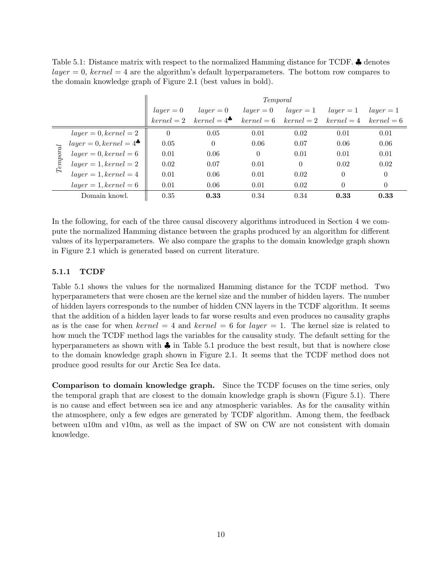<span id="page-9-0"></span>

|  | Table 5.1: Distance matrix with respect to the normalized Hamming distance for TCDF. $\clubsuit$ denotes |  |  |  |
|--|----------------------------------------------------------------------------------------------------------|--|--|--|
|  | $layer = 0$ , kernel = 4 are the algorithm's default hyperparameters. The bottom row compares to         |  |  |  |
|  | the domain knowledge graph of Figure 2.1 (best values in bold).                                          |  |  |  |

|          |                         | Temporal    |                               |              |                               |             |              |  |  |
|----------|-------------------------|-------------|-------------------------------|--------------|-------------------------------|-------------|--------------|--|--|
|          |                         | $layer = 0$ | $layer = 0$                   | $layer = 0$  | $layer = 1$                   | $layer = 1$ | $layer = 1$  |  |  |
|          |                         |             | $kernel = 2 \quad kernel = 4$ | $kernel = 6$ | $kernel = 2 \quad kernel = 4$ |             | $kernel = 6$ |  |  |
|          | $layer = 0, kernal = 2$ | $\theta$    | 0.05                          | 0.01         | 0.02                          | 0.01        | 0.01         |  |  |
| Temporal | $layer = 0, kernel = 4$ | 0.05        | $\theta$                      | 0.06         | 0.07                          | 0.06        | 0.06         |  |  |
|          | $layer = 0, kernal = 6$ | 0.01        | 0.06                          | $\Omega$     | 0.01                          | 0.01        | 0.01         |  |  |
|          | $layer = 1, kernel = 2$ | 0.02        | 0.07                          | 0.01         | $\theta$                      | 0.02        | 0.02         |  |  |
|          | $layer = 1, kernal = 4$ | 0.01        | 0.06                          | 0.01         | 0.02                          | $\theta$    | $\theta$     |  |  |
|          | $layer = 1, kernel = 6$ | 0.01        | 0.06                          | 0.01         | 0.02                          | 0           | $\theta$     |  |  |
|          | Domain knowl.           | 0.35        | 0.33                          | 0.34         | 0.34                          | 0.33        | 0.33         |  |  |

In the following, for each of the three causal discovery algorithms introduced in Section [4](#page-5-0) we compute the normalized Hamming distance between the graphs produced by an algorithm for different values of its hyperparameters. We also compare the graphs to the domain knowledge graph shown in Figure [2.1](#page-2-0) which is generated based on current literature.

### 5.1.1 TCDF

Table [5.1](#page-9-0) shows the values for the normalized Hamming distance for the TCDF method. Two hyperparameters that were chosen are the kernel size and the number of hidden layers. The number of hidden layers corresponds to the number of hidden CNN layers in the TCDF algorithm. It seems that the addition of a hidden layer leads to far worse results and even produces no causality graphs as is the case for when kernel = 4 and kernel = 6 for layer = 1. The kernel size is related to how much the TCDF method lags the variables for the causality study. The default setting for the hyperparameters as shown with  $\clubsuit$  in Table [5.1](#page-9-0) produce the best result, but that is nowhere close to the domain knowledge graph shown in Figure [2.1.](#page-2-0) It seems that the TCDF method does not produce good results for our Arctic Sea Ice data.

Comparison to domain knowledge graph. Since the TCDF focuses on the time series, only the temporal graph that are closest to the domain knowledge graph is shown (Figure [5.1\)](#page-10-0). There is no cause and effect between sea ice and any atmospheric variables. As for the causality within the atmosphere, only a few edges are generated by TCDF algorithm. Among them, the feedback between u10m and v10m, as well as the impact of SW on CW are not consistent with domain knowledge.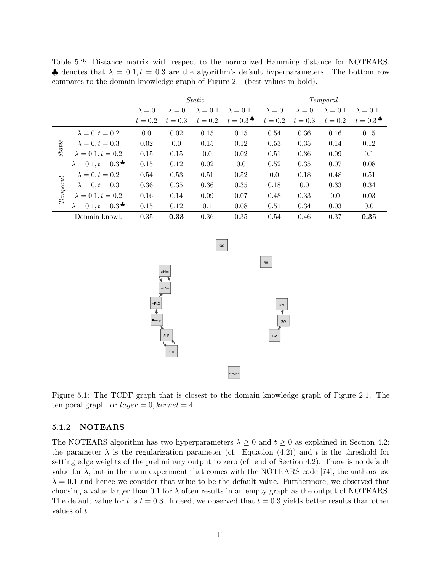<span id="page-10-1"></span>Table 5.2: Distance matrix with respect to the normalized Hamming distance for NOTEARS. A denotes that  $\lambda = 0.1, t = 0.3$  are the algorithm's default hyperparameters. The bottom row compares to the domain knowledge graph of Figure [2.1](#page-2-0) (best values in bold).

|          |                                       | <i>Static</i> |               |                 |                     | Temporal      |               |                 |                   |
|----------|---------------------------------------|---------------|---------------|-----------------|---------------------|---------------|---------------|-----------------|-------------------|
|          |                                       | $\lambda = 0$ | $\lambda = 0$ | $\lambda = 0.1$ | $\lambda = 0.1$     | $\lambda = 0$ | $\lambda = 0$ | $\lambda = 0.1$ | $\lambda = 0.1$   |
|          |                                       | $t=0.2$       | $t=0.3$       | $t=0.2$         | $t=0.3$ $\clubsuit$ | $t=0.2$       | $t=0.3$       | $t=0.2$         | $t=0.3$ $\bullet$ |
|          | $\lambda = 0, t = 0.2$                | 0.0           | 0.02          | 0.15            | 0.15                | 0.54          | 0.36          | 0.16            | 0.15              |
|          | $\lambda = 0, t = 0.3$                | 0.02          | 0.0           | 0.15            | 0.12                | 0.53          | 0.35          | 0.14            | 0.12              |
| Static   | $\lambda = 0.1, t = 0.2$              | 0.15          | 0.15          | 0.0             | 0.02                | 0.51          | 0.36          | 0.09            | 0.1               |
|          | $\lambda = 0.1, t = 0.3$ <sup>*</sup> | 0.15          | 0.12          | 0.02            | 0.0                 | 0.52          | 0.35          | 0.07            | 0.08              |
|          | $\lambda = 0, t = 0.2$                | 0.54          | 0.53          | 0.51            | 0.52                | 0.0           | 0.18          | 0.48            | 0.51              |
| Temporal | $\lambda = 0, t = 0.3$                | 0.36          | 0.35          | 0.36            | 0.35                | 0.18          | 0.0           | 0.33            | 0.34              |
|          | $\lambda = 0.1, t = 0.2$              | 0.16          | 0.14          | 0.09            | 0.07                | 0.48          | 0.33          | $0.0\,$         | 0.03              |
|          | $\lambda = 0.1, t = 0.3$ <sup>*</sup> | 0.15          | 0.12          | 0.1             | 0.08                | 0.51          | 0.34          | 0.03            | 0.0               |
|          | Domain knowl.                         | 0.35          | 0.33          | 0.36            | 0.35                | 0.54          | 0.46          | 0.37            | 0.35              |

<span id="page-10-0"></span>

Figure 5.1: The TCDF graph that is closest to the domain knowledge graph of Figure [2.1.](#page-2-0) The temporal graph for  $layer = 0, kernel = 4.$ 

### 5.1.2 NOTEARS

The NOTEARS algorithm has two hyperparameters  $\lambda \geq 0$  and  $t \geq 0$  as explained in Section [4.2:](#page-6-3) the parameter  $\lambda$  is the regularization parameter (cf. Equation [\(4.2\)](#page-6-1)) and t is the threshold for setting edge weights of the preliminary output to zero (cf. end of Section [4.2\)](#page-6-3). There is no default value for  $\lambda$ , but in the main experiment that comes with the NOTEARS code [\[74\]](#page-21-1), the authors use  $\lambda = 0.1$  and hence we consider that value to be the default value. Furthermore, we observed that choosing a value larger than 0.1 for  $\lambda$  often results in an empty graph as the output of NOTEARS. The default value for t is  $t = 0.3$ . Indeed, we observed that  $t = 0.3$  yields better results than other values of t.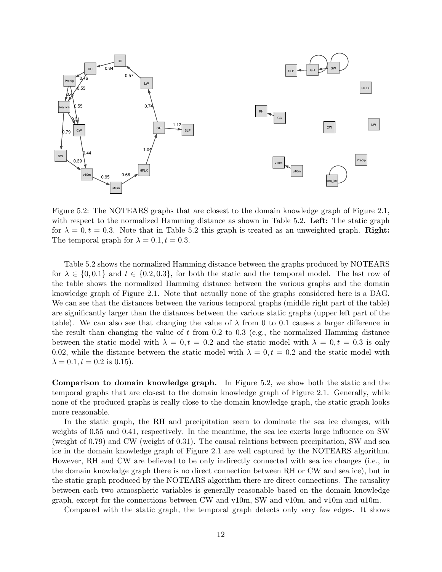

<span id="page-11-0"></span>Figure 5.2: The NOTEARS graphs that are closest to the domain knowledge graph of Figure [2.1,](#page-2-0) with respect to the normalized Hamming distance as shown in Table [5.2.](#page-10-1) Left: The static graph for  $\lambda = 0, t = 0.3$ . Note that in Table [5.2](#page-10-1) this graph is treated as an unweighted graph. **Right:** The temporal graph for  $\lambda = 0.1, t = 0.3$ .

Table [5.2](#page-10-1) shows the normalized Hamming distance between the graphs produced by NOTEARS for  $\lambda \in \{0, 0.1\}$  and  $t \in \{0.2, 0.3\}$ , for both the static and the temporal model. The last row of the table shows the normalized Hamming distance between the various graphs and the domain knowledge graph of Figure [2.1.](#page-2-0) Note that actually none of the graphs considered here is a DAG. We can see that the distances between the various temporal graphs (middle right part of the table) are significantly larger than the distances between the various static graphs (upper left part of the table). We can also see that changing the value of  $\lambda$  from 0 to 0.1 causes a larger difference in the result than changing the value of  $t$  from 0.2 to 0.3 (e.g., the normalized Hamming distance between the static model with  $\lambda = 0, t = 0.2$  and the static model with  $\lambda = 0, t = 0.3$  is only 0.02, while the distance between the static model with  $\lambda = 0, t = 0.2$  and the static model with  $\lambda = 0.1, t = 0.2$  is 0.15).

Comparison to domain knowledge graph. In Figure [5.2,](#page-11-0) we show both the static and the temporal graphs that are closest to the domain knowledge graph of Figure [2.1.](#page-2-0) Generally, while none of the produced graphs is really close to the domain knowledge graph, the static graph looks more reasonable.

In the static graph, the RH and precipitation seem to dominate the sea ice changes, with weights of 0.55 and 0.41, respectively. In the meantime, the sea ice exerts large influence on SW (weight of 0.79) and CW (weight of 0.31). The causal relations between precipitation, SW and sea ice in the domain knowledge graph of Figure [2.1](#page-2-0) are well captured by the NOTEARS algorithm. However, RH and CW are believed to be only indirectly connected with sea ice changes (i.e., in the domain knowledge graph there is no direct connection between RH or CW and sea ice), but in the static graph produced by the NOTEARS algorithm there are direct connections. The causality between each two atmospheric variables is generally reasonable based on the domain knowledge graph, except for the connections between CW and v10m, SW and v10m, and v10m and u10m.

Compared with the static graph, the temporal graph detects only very few edges. It shows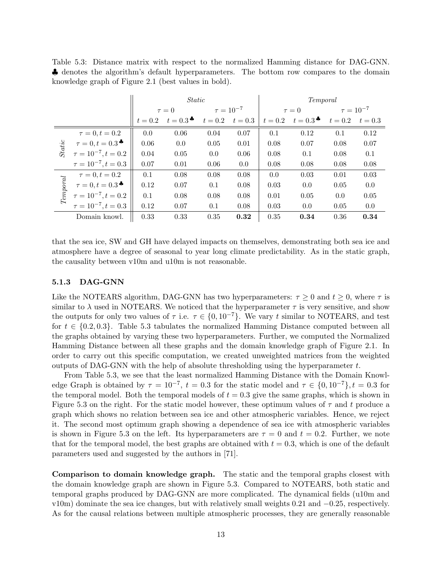<span id="page-12-0"></span>Table 5.3: Distance matrix with respect to the normalized Hamming distance for DAG-GNN. ♣ denotes the algorithm's default hyperparameters. The bottom row compares to the domain knowledge graph of Figure [2.1](#page-2-0) (best values in bold).

|          |                                                       | <i>Static</i> |                                         |                  |         | Temporal   |                                           |                  |           |  |
|----------|-------------------------------------------------------|---------------|-----------------------------------------|------------------|---------|------------|-------------------------------------------|------------------|-----------|--|
|          |                                                       | $\tau = 0$    |                                         | $\tau = 10^{-7}$ |         | $\tau = 0$ |                                           | $\tau = 10^{-7}$ |           |  |
|          |                                                       | $t = 0.2$     | $t=0.3$ <sup><math>\bullet</math></sup> | $t=0.2$          | $t=0.3$ | $t=0.2$    | $t=0.3$ <sup><math>\clubsuit</math></sup> | $t=0.2$          | $t = 0.3$ |  |
|          | $\tau = 0, t = 0.2$                                   | 0.0           | 0.06                                    | 0.04             | 0.07    | 0.1        | 0.12                                      | 0.1              | 0.12      |  |
| Static   | $\tau = 0, t = 0.3$ <sup>*</sup>                      | 0.06          | 0.0                                     | 0.05             | 0.01    | 0.08       | 0.07                                      | 0.08             | 0.07      |  |
|          | $\tau = 10^{-7}, t = 0.2$                             | 0.04          | 0.05                                    | 0.0              | 0.06    | 0.08       | 0.1                                       | 0.08             | 0.1       |  |
|          | $\tau = 10^{-7}, t = 0.3$                             | 0.07          | 0.01                                    | 0.06             | 0.0     | 0.08       | 0.08                                      | 0.08             | 0.08      |  |
|          | $\tau = 0, t = 0.2$                                   | 0.1           | 0.08                                    | 0.08             | 0.08    | 0.0        | 0.03                                      | 0.01             | 0.03      |  |
| Temporal | $\tau = 0, t = 0.3$ <sup><math>\clubsuit</math></sup> | 0.12          | 0.07                                    | 0.1              | 0.08    | 0.03       | 0.0                                       | 0.05             | 0.0       |  |
|          | $\tau = 10^{-7}, t = 0.2$                             | 0.1           | 0.08                                    | 0.08             | 0.08    | 0.01       | 0.05                                      | 0.0              | 0.05      |  |
|          | $\tau = 10^{-7}, t = 0.3$                             | 0.12          | 0.07                                    | 0.1              | 0.08    | 0.03       | 0.0                                       | 0.05             | 0.0       |  |
|          | Domain knowl.                                         | 0.33          | 0.33                                    | 0.35             | 0.32    | 0.35       | 0.34                                      | 0.36             | 0.34      |  |

that the sea ice, SW and GH have delayed impacts on themselves, demonstrating both sea ice and atmosphere have a degree of seasonal to year long climate predictability. As in the static graph, the causality between v10m and u10m is not reasonable.

#### 5.1.3 DAG-GNN

Like the NOTEARS algorithm, DAG-GNN has two hyperparameters:  $\tau \geq 0$  and  $t \geq 0$ , where  $\tau$  is similar to  $\lambda$  used in NOTEARS. We noticed that the hyperparameter  $\tau$  is very sensitive, and show the outputs for only two values of  $\tau$  i.e.  $\tau \in \{0, 10^{-7}\}$ . We vary t similar to NOTEARS, and test for  $t \in \{0.2, 0.3\}$ . Table [5.3](#page-12-0) tabulates the normalized Hamming Distance computed between all the graphs obtained by varying these two hyperparameters. Further, we computed the Normalized Hamming Distance between all these graphs and the domain knowledge graph of Figure [2.1.](#page-2-0) In order to carry out this specific computation, we created unweighted matrices from the weighted outputs of DAG-GNN with the help of absolute thresholding using the hyperparameter  $t$ .

From Table [5.3,](#page-12-0) we see that the least normalized Hamming Distance with the Domain Knowledge Graph is obtained by  $\tau = 10^{-7}$ ,  $t = 0.3$  for the static model and  $\tau \in \{0, 10^{-7}\}$ ,  $t = 0.3$  for the temporal model. Both the temporal models of  $t = 0.3$  give the same graphs, which is shown in Figure [5.3](#page-13-1) on the right. For the static model however, these optimum values of  $\tau$  and t produce a graph which shows no relation between sea ice and other atmospheric variables. Hence, we reject it. The second most optimum graph showing a dependence of sea ice with atmospheric variables is shown in Figure [5.3](#page-13-1) on the left. Its hyperparameters are  $\tau = 0$  and  $t = 0.2$ . Further, we note that for the temporal model, the best graphs are obtained with  $t = 0.3$ , which is one of the default parameters used and suggested by the authors in [\[71\]](#page-20-7).

Comparison to domain knowledge graph. The static and the temporal graphs closest with the domain knowledge graph are shown in Figure [5.3.](#page-13-1) Compared to NOTEARS, both static and temporal graphs produced by DAG-GNN are more complicated. The dynamical fields (u10m and v10m) dominate the sea ice changes, but with relatively small weights 0.21 and −0.25, respectively. As for the causal relations between multiple atmospheric processes, they are generally reasonable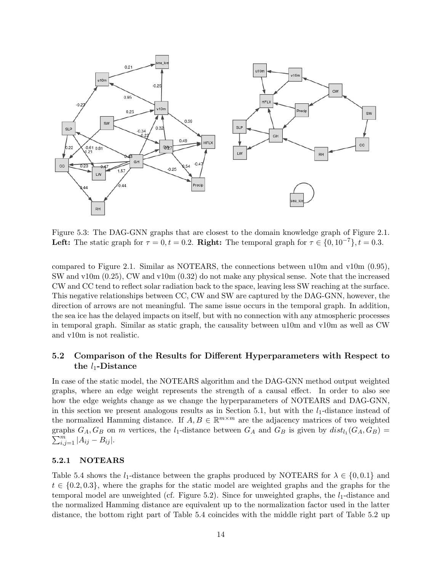

<span id="page-13-1"></span>Figure 5.3: The DAG-GNN graphs that are closest to the domain knowledge graph of Figure [2.1.](#page-2-0) Left: The static graph for  $\tau = 0, t = 0.2$ . Right: The temporal graph for  $\tau \in \{0, 10^{-7}\}, t = 0.3$ .

compared to Figure [2.1.](#page-2-0) Similar as NOTEARS, the connections between u10m and v10m (0.95), SW and v10m (0.25), CW and v10m (0.32) do not make any physical sense. Note that the increased CW and CC tend to reflect solar radiation back to the space, leaving less SW reaching at the surface. This negative relationships between CC, CW and SW are captured by the DAG-GNN, however, the direction of arrows are not meaningful. The same issue occurs in the temporal graph. In addition, the sea ice has the delayed impacts on itself, but with no connection with any atmospheric processes in temporal graph. Similar as static graph, the causality between u10m and v10m as well as CW and v10m is not realistic.

### <span id="page-13-0"></span>5.2 Comparison of the Results for Different Hyperparameters with Respect to the  $l_1$ -Distance

In case of the static model, the NOTEARS algorithm and the DAG-GNN method output weighted graphs, where an edge weight represents the strength of a causal effect. In order to also see how the edge weights change as we change the hyperparameters of NOTEARS and DAG-GNN, in this section we present analogous results as in Section [5.1,](#page-8-1) but with the  $l_1$ -distance instead of the normalized Hamming distance. If  $A, B \in \mathbb{R}^{m \times m}$  are the adjacency matrices of two weighted graphs  $G_A, G_B$  on m vertices, the  $l_1$ -distance between  $G_A$  and  $G_B$  is given by  $dist_{l_1}(G_A, G_B)$  =  $\sum_{i,j=1}^{m} |A_{ij} - B_{ij}|.$ 

### 5.2.1 NOTEARS

Table [5.4](#page-14-0) shows the l<sub>1</sub>-distance between the graphs produced by NOTEARS for  $\lambda \in \{0, 0.1\}$  and  $t \in \{0.2, 0.3\}$ , where the graphs for the static model are weighted graphs and the graphs for the temporal model are unweighted (cf. Figure [5.2\)](#page-11-0). Since for unweighted graphs, the  $l_1$ -distance and the normalized Hamming distance are equivalent up to the normalization factor used in the latter distance, the bottom right part of Table [5.4](#page-14-0) coincides with the middle right part of Table [5.2](#page-10-1) up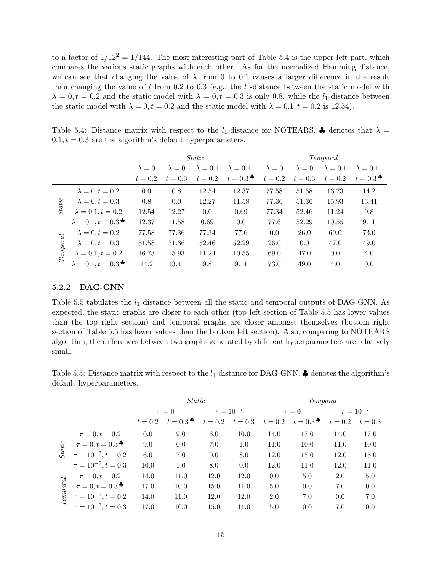to a factor of  $1/12^2 = 1/144$ . The most interesting part of Table [5.4](#page-14-0) is the upper left part, which compares the various static graphs with each other. As for the normalized Hamming distance, we can see that changing the value of  $\lambda$  from 0 to 0.1 causes a larger difference in the result than changing the value of t from 0.2 to 0.3 (e.g., the  $l_1$ -distance between the static model with  $\lambda = 0, t = 0.2$  and the static model with  $\lambda = 0, t = 0.3$  is only 0.8, while the l<sub>1</sub>-distance between the static model with  $\lambda = 0, t = 0.2$  and the static model with  $\lambda = 0.1, t = 0.2$  is 12.54).

<span id="page-14-0"></span>Table 5.4: Distance matrix with respect to the  $l_1$ -distance for NOTEARS.  $\clubsuit$  denotes that  $\lambda =$  $0.1, t = 0.3$  are the algorithm's default hyperparameters.

|                                |                                       |               |               | <i>Static</i>   |                     | Temporal      |               |                 |                                         |
|--------------------------------|---------------------------------------|---------------|---------------|-----------------|---------------------|---------------|---------------|-----------------|-----------------------------------------|
|                                |                                       | $\lambda = 0$ | $\lambda = 0$ | $\lambda = 0.1$ | $\lambda = 0.1$     | $\lambda = 0$ | $\lambda = 0$ | $\lambda = 0.1$ | $\lambda = 0.1$                         |
|                                |                                       | $t=0.2$       | $t=0.3$       | $t=0.2$         | $t=0.3$ $\clubsuit$ | $t=0.2$       | $t=0.3$       | $t=0.2$         | $t=0.3$ <sup><math>\bullet</math></sup> |
| Static                         | $\lambda = 0, t = 0.2$                | 0.0           | 0.8           | 12.54           | 12.37               | 77.58         | 51.58         | 16.73           | 14.2                                    |
|                                | $\lambda = 0, t = 0.3$                | 0.8           | 0.0           | 12.27           | 11.58               | 77.36         | 51.36         | 15.93           | 13.41                                   |
|                                | $\lambda = 0.1, t = 0.2$              | 12.54         | 12.27         | 0.0             | 0.69                | 77.34         | 52.46         | 11.24           | 9.8                                     |
|                                | $\lambda = 0.1, t = 0.3$              | 12.37         | 11.58         | 0.69            | 0.0                 | 77.6          | 52.29         | 10.55           | 9.11                                    |
| $\label{eq:temporal} Temporal$ | $\lambda = 0, t = 0.2$                | 77.58         | 77.36         | 77.34           | 77.6                | 0.0           | 26.0          | 69.0            | 73.0                                    |
|                                | $\lambda = 0, t = 0.3$                | 51.58         | 51.36         | 52.46           | 52.29               | 26.0          | 0.0           | 47.0            | 49.0                                    |
|                                | $\lambda = 0.1, t = 0.2$              | 16.73         | 15.93         | 11.24           | 10.55               | 69.0          | 47.0          | 0.0             | 4.0                                     |
|                                | $\lambda = 0.1, t = 0.3$ <sup>*</sup> | 14.2          | 13.41         | 9.8             | 9.11                | 73.0          | 49.0          | 4.0             | 0.0                                     |

#### 5.2.2 DAG-GNN

Table [5.5](#page-14-1) tabulates the  $l_1$  distance between all the static and temporal outputs of DAG-GNN. As expected, the static graphs are closer to each other (top left section of Table [5.5](#page-14-1) has lower values than the top right section) and temporal graphs are closer amongst themselves (bottom right section of Table [5.5](#page-14-1) has lower values than the bottom left section). Also, comparing to NOTEARS algorithm, the differences between two graphs generated by different hyperparameters are relatively small.

<span id="page-14-1"></span>Table 5.5: Distance matrix with respect to the  $l_1$ -distance for DAG-GNN.  $\clubsuit$  denotes the algorithm's default hyperparameters.

|                                |                                                       | <i>Static</i> |                                           |                  |         | Temporal   |                     |                  |           |
|--------------------------------|-------------------------------------------------------|---------------|-------------------------------------------|------------------|---------|------------|---------------------|------------------|-----------|
|                                |                                                       | $\tau = 0$    |                                           | $\tau = 10^{-7}$ |         | $\tau = 0$ |                     | $\tau = 10^{-7}$ |           |
|                                |                                                       | $t = 0.2$     | $t=0.3$ <sup><math>\clubsuit</math></sup> | $t=0.2$          | $t=0.3$ | $t=0.2$    | $t=0.3$ $\clubsuit$ | $t=0.2$          | $t = 0.3$ |
|                                | $\tau = 0, t = 0.2$                                   | 0.0           | 9.0                                       | 6.0              | 10.0    | 14.0       | 17.0                | 14.0             | 17.0      |
| Static                         | $\tau = 0, t = 0.3$ <sup><math>\clubsuit</math></sup> | 9.0           | 0.0                                       | 7.0              | 1.0     | 11.0       | 10.0                | 11.0             | 10.0      |
|                                | $\tau = 10^{-7}, t = 0.2$                             | 6.0           | 7.0                                       | 0.0              | 8.0     | 12.0       | 15.0                | 12.0             | 15.0      |
|                                | $\tau = 10^{-7}, t = 0.3$                             | 10.0          | 1.0                                       | 8.0              | 0.0     | 12.0       | 11.0                | 12.0             | 11.0      |
|                                | $\tau = 0, t = 0.2$                                   | 14.0          | 11.0                                      | 12.0             | 12.0    | 0.0        | 5.0                 | 2.0              | 5.0       |
| $\label{eq:temporal} Temporal$ | $\tau = 0, t = 0.3$ $\bullet$                         | 17.0          | 10.0                                      | 15.0             | 11.0    | 5.0        | 0.0                 | 7.0              | 0.0       |
|                                | $\tau = 10^{-7}, t = 0.2$                             | 14.0          | 11.0                                      | 12.0             | 12.0    | 2.0        | 7.0                 | 0.0              | 7.0       |
|                                | $\tau = 10^{-7}, t = 0.3$                             | 17.0          | 10.0                                      | 15.0             | 11.0    | 5.0        | 0.0                 | 7.0              | 0.0       |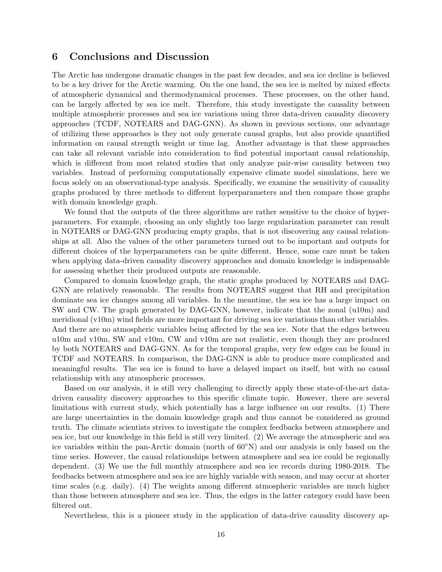### <span id="page-15-0"></span>6 Conclusions and Discussion

The Arctic has undergone dramatic changes in the past few decades, and sea ice decline is believed to be a key driver for the Arctic warming. On the one hand, the sea ice is melted by mixed effects of atmospheric dynamical and thermodynamical processes. These processes, on the other hand, can be largely affected by sea ice melt. Therefore, this study investigate the causality between multiple atmospheric processes and sea ice variations using three data-driven causality discovery approaches (TCDF, NOTEARS and DAG-GNN). As shown in previous sections, one advantage of utilizing these approaches is they not only generate causal graphs, but also provide quantified information on causal strength weight or time lag. Another advantage is that these approaches can take all relevant variable into consideration to find potential important causal relationship, which is different from most related studies that only analyze pair-wise causality between two variables. Instead of performing computationally expensive climate model simulations, here we focus solely on an observational-type analysis. Specifically, we examine the sensitivity of causality graphs produced by three methods to different hyperparameters and then compare those graphs with domain knowledge graph.

We found that the outputs of the three algorithms are rather sensitive to the choice of hyperparameters. For example, choosing an only slightly too large regularization parameter can result in NOTEARS or DAG-GNN producing empty graphs, that is not discovering any causal relationships at all. Also the values of the other parameters turned out to be important and outputs for different choices of the hyperparameters can be quite different. Hence, some care must be taken when applying data-driven causality discovery approaches and domain knowledge is indispensable for assessing whether their produced outputs are reasonable.

Compared to domain knowledge graph, the static graphs produced by NOTEARS and DAG-GNN are relatively reasonable. The results from NOTEARS suggest that RH and precipitation dominate sea ice changes among all variables. In the meantime, the sea ice has a large impact on SW and CW. The graph generated by DAG-GNN, however, indicate that the zonal (u10m) and meridional (v10m) wind fields are more important for driving sea ice variations than other variables. And there are no atmospheric variables being affected by the sea ice. Note that the edges between u10m and v10m, SW and v10m, CW and v10m are not realistic, even though they are produced by both NOTEARS and DAG-GNN. As for the temporal graphs, very few edges can be found in TCDF and NOTEARS. In comparison, the DAG-GNN is able to produce more complicated and meaningful results. The sea ice is found to have a delayed impact on itself, but with no causal relationship with any atmospheric processes.

Based on our analysis, it is still very challenging to directly apply these state-of-the-art datadriven causality discovery approaches to this specific climate topic. However, there are several limitations with current study, which potentially has a large influence on our results. (1) There are large uncertainties in the domain knowledge graph and thus cannot be considered as ground truth. The climate scientists strives to investigate the complex feedbacks between atmosphere and sea ice, but our knowledge in this field is still very limited. (2) We average the atmospheric and sea ice variables within the pan-Arctic domain (north of 60◦N) and our analysis is only based on the time series. However, the causal relationships between atmosphere and sea ice could be regionally dependent. (3) We use the full monthly atmosphere and sea ice records during 1980-2018. The feedbacks between atmosphere and sea ice are highly variable with season, and may occur at shorter time scales (e.g. daily). (4) The weights among different atmospheric variables are much higher than those between atmosphere and sea ice. Thus, the edges in the latter category could have been filtered out.

Nevertheless, this is a pioneer study in the application of data-drive causality discovery ap-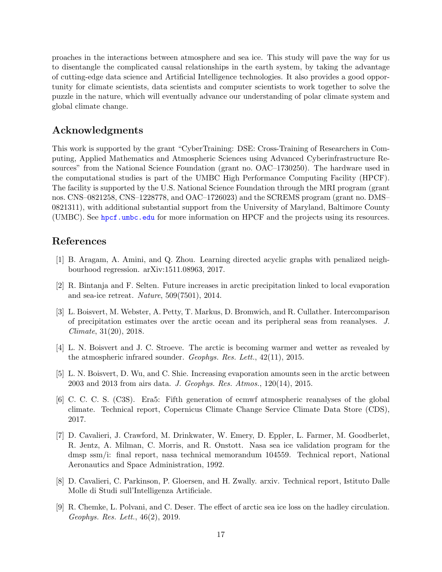proaches in the interactions between atmosphere and sea ice. This study will pave the way for us to disentangle the complicated causal relationships in the earth system, by taking the advantage of cutting-edge data science and Artificial Intelligence technologies. It also provides a good opportunity for climate scientists, data scientists and computer scientists to work together to solve the puzzle in the nature, which will eventually advance our understanding of polar climate system and global climate change.

## Acknowledgments

This work is supported by the grant "CyberTraining: DSE: Cross-Training of Researchers in Computing, Applied Mathematics and Atmospheric Sciences using Advanced Cyberinfrastructure Resources" from the National Science Foundation (grant no. OAC–1730250). The hardware used in the computational studies is part of the UMBC High Performance Computing Facility (HPCF). The facility is supported by the U.S. National Science Foundation through the MRI program (grant nos. CNS–0821258, CNS–1228778, and OAC–1726023) and the SCREMS program (grant no. DMS– 0821311), with additional substantial support from the University of Maryland, Baltimore County (UMBC). See <hpcf.umbc.edu> for more information on HPCF and the projects using its resources.

## References

- <span id="page-16-8"></span>[1] B. Aragam, A. Amini, and Q. Zhou. Learning directed acyclic graphs with penalized neighbourhood regression. arXiv:1511.08963, 2017.
- <span id="page-16-3"></span>[2] R. Bintanja and F. Selten. Future increases in arctic precipitation linked to local evaporation and sea-ice retreat. Nature, 509(7501), 2014.
- <span id="page-16-0"></span>[3] L. Boisvert, M. Webster, A. Petty, T. Markus, D. Bromwich, and R. Cullather. Intercomparison of precipitation estimates over the arctic ocean and its peripheral seas from reanalyses. J. Climate, 31(20), 2018.
- <span id="page-16-1"></span>[4] L. N. Boisvert and J. C. Stroeve. The arctic is becoming warmer and wetter as revealed by the atmospheric infrared sounder. Geophys. Res. Lett., 42(11), 2015.
- <span id="page-16-2"></span>[5] L. N. Boisvert, D. Wu, and C. Shie. Increasing evaporation amounts seen in the arctic between 2003 and 2013 from airs data. J. Geophys. Res. Atmos., 120(14), 2015.
- <span id="page-16-7"></span>[6] C. C. C. S. (C3S). Era5: Fifth generation of ecmwf atmospheric reanalyses of the global climate. Technical report, Copernicus Climate Change Service Climate Data Store (CDS), 2017.
- <span id="page-16-6"></span>[7] D. Cavalieri, J. Crawford, M. Drinkwater, W. Emery, D. Eppler, L. Farmer, M. Goodberlet, R. Jentz, A. Milman, C. Morris, and R. Onstott. Nasa sea ice validation program for the dmsp ssm/i: final report, nasa technical memorandum 104559. Technical report, National Aeronautics and Space Administration, 1992.
- <span id="page-16-5"></span>[8] D. Cavalieri, C. Parkinson, P. Gloersen, and H. Zwally. arxiv. Technical report, Istituto Dalle Molle di Studi sull'Intelligenza Artificiale.
- <span id="page-16-4"></span>[9] R. Chemke, L. Polvani, and C. Deser. The effect of arctic sea ice loss on the hadley circulation. Geophys. Res. Lett., 46(2), 2019.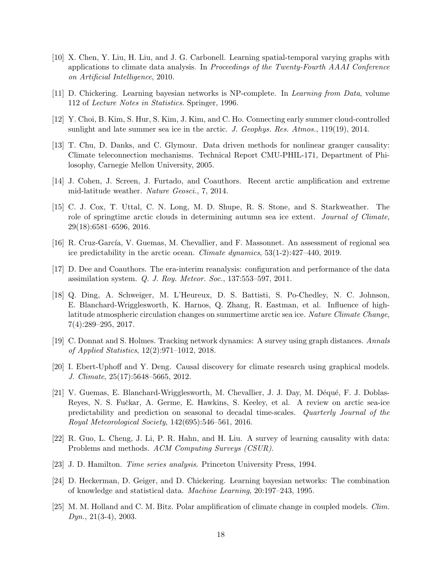- <span id="page-17-3"></span>[10] X. Chen, Y. Liu, H. Liu, and J. G. Carbonell. Learning spatial-temporal varying graphs with applications to climate data analysis. In Proceedings of the Twenty-Fourth AAAI Conference on Artificial Intelligence, 2010.
- <span id="page-17-13"></span>[11] D. Chickering. Learning bayesian networks is NP-complete. In Learning from Data, volume 112 of Lecture Notes in Statistics. Springer, 1996.
- <span id="page-17-6"></span>[12] Y. Choi, B. Kim, S. Hur, S. Kim, J. Kim, and C. Ho. Connecting early summer cloud-controlled sunlight and late summer sea ice in the arctic. J. Geophys. Res. Atmos., 119(19), 2014.
- <span id="page-17-4"></span>[13] T. Chu, D. Danks, and C. Glymour. Data driven methods for nonlinear granger causality: Climate teleconnection mechanisms. Technical Report CMU-PHIL-171, Department of Philosophy, Carnegie Mellon University, 2005.
- <span id="page-17-1"></span>[14] J. Cohen, J. Screen, J. Furtado, and Coauthors. Recent arctic amplification and extreme mid-latitude weather. Nature Geosci., 7, 2014.
- <span id="page-17-7"></span>[15] C. J. Cox, T. Uttal, C. N. Long, M. D. Shupe, R. S. Stone, and S. Starkweather. The role of springtime arctic clouds in determining autumn sea ice extent. *Journal of Climate*, 29(18):6581–6596, 2016.
- <span id="page-17-9"></span>[16] R. Cruz-García, V. Guemas, M. Chevallier, and F. Massonnet. An assessment of regional sea ice predictability in the arctic ocean. Climate dynamics, 53(1-2):427–440, 2019.
- <span id="page-17-11"></span>[17] D. Dee and Coauthors. The era-interim reanalysis: configuration and performance of the data assimilation system. Q. J. Roy. Meteor. Soc., 137:553–597, 2011.
- <span id="page-17-8"></span>[18] Q. Ding, A. Schweiger, M. L'Heureux, D. S. Battisti, S. Po-Chedley, N. C. Johnson, E. Blanchard-Wrigglesworth, K. Harnos, Q. Zhang, R. Eastman, et al. Influence of highlatitude atmospheric circulation changes on summertime arctic sea ice. Nature Climate Change, 7(4):289–295, 2017.
- <span id="page-17-15"></span>[19] C. Donnat and S. Holmes. Tracking network dynamics: A survey using graph distances. Annals of Applied Statistics, 12(2):971–1012, 2018.
- <span id="page-17-5"></span>[20] I. Ebert-Uphoff and Y. Deng. Causal discovery for climate research using graphical models. J. Climate, 25(17):5648–5665, 2012.
- <span id="page-17-10"></span>[21] V. Guemas, E. Blanchard-Wrigglesworth, M. Chevallier, J. J. Day, M. Déqué, F. J. Doblas-Reyes, N. S. Fučkar, A. Germe, E. Hawkins, S. Keeley, et al. A review on arctic sea-ice predictability and prediction on seasonal to decadal time-scales. Quarterly Journal of the Royal Meteorological Society, 142(695):546–561, 2016.
- <span id="page-17-2"></span>[22] R. Guo, L. Cheng, J. Li, P. R. Hahn, and H. Liu. A survey of learning causality with data: Problems and methods. ACM Computing Surveys (CSUR).
- <span id="page-17-12"></span>[23] J. D. Hamilton. Time series analysis. Princeton University Press, 1994.
- <span id="page-17-14"></span>[24] D. Heckerman, D. Geiger, and D. Chickering. Learning bayesian networks: The combination of knowledge and statistical data. Machine Learning, 20:197–243, 1995.
- <span id="page-17-0"></span>[25] M. M. Holland and C. M. Bitz. Polar amplification of climate change in coupled models. Clim.  $Dyn., 21(3-4), 2003.$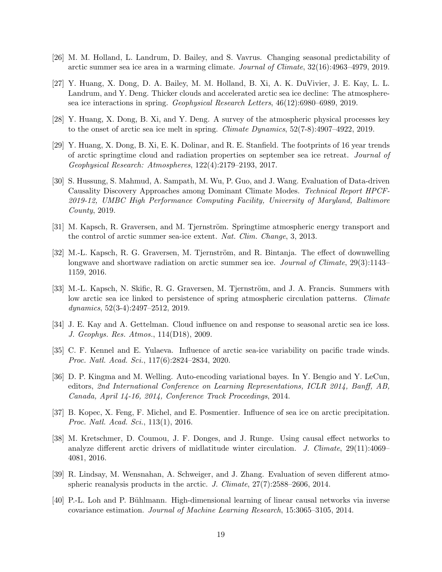- <span id="page-18-11"></span>[26] M. M. Holland, L. Landrum, D. Bailey, and S. Vavrus. Changing seasonal predictability of arctic summer sea ice area in a warming climate. Journal of Climate, 32(16):4963–4979, 2019.
- <span id="page-18-7"></span>[27] Y. Huang, X. Dong, D. A. Bailey, M. M. Holland, B. Xi, A. K. DuVivier, J. E. Kay, L. L. Landrum, and Y. Deng. Thicker clouds and accelerated arctic sea ice decline: The atmospheresea ice interactions in spring. Geophysical Research Letters, 46(12):6980–6989, 2019.
- <span id="page-18-9"></span>[28] Y. Huang, X. Dong, B. Xi, and Y. Deng. A survey of the atmospheric physical processes key to the onset of arctic sea ice melt in spring. Climate Dynamics, 52(7-8):4907–4922, 2019.
- <span id="page-18-6"></span>[29] Y. Huang, X. Dong, B. Xi, E. K. Dolinar, and R. E. Stanfield. The footprints of 16 year trends of arctic springtime cloud and radiation properties on september sea ice retreat. Journal of Geophysical Research: Atmospheres, 122(4):2179–2193, 2017.
- <span id="page-18-0"></span>[30] S. Hussung, S. Mahmud, A. Sampath, M. Wu, P. Guo, and J. Wang. Evaluation of Data-driven Causality Discovery Approaches among Dominant Climate Modes. Technical Report HPCF-2019-12, UMBC High Performance Computing Facility, University of Maryland, Baltimore County, 2019.
- <span id="page-18-2"></span>[31] M. Kapsch, R. Graversen, and M. Tjernström. Springtime atmospheric energy transport and the control of arctic summer sea-ice extent. Nat. Clim. Change, 3, 2013.
- <span id="page-18-8"></span>[32] M.-L. Kapsch, R. G. Graversen, M. Tjernström, and R. Bintanja. The effect of downwelling longwave and shortwave radiation on arctic summer sea ice. Journal of Climate, 29(3):1143– 1159, 2016.
- <span id="page-18-10"></span>[33] M.-L. Kapsch, N. Skific, R. G. Graversen, M. Tjernström, and J. A. Francis. Summers with low arctic sea ice linked to persistence of spring atmospheric circulation patterns. Climate dynamics, 52(3-4):2497–2512, 2019.
- <span id="page-18-3"></span>[34] J. E. Kay and A. Gettelman. Cloud influence on and response to seasonal arctic sea ice loss. J. Geophys. Res. Atmos., 114(D18), 2009.
- <span id="page-18-5"></span>[35] C. F. Kennel and E. Yulaeva. Influence of arctic sea-ice variability on pacific trade winds. Proc. Natl. Acad. Sci., 117(6):2824–2834, 2020.
- <span id="page-18-14"></span>[36] D. P. Kingma and M. Welling. Auto-encoding variational bayes. In Y. Bengio and Y. LeCun, editors, 2nd International Conference on Learning Representations, ICLR 2014, Banff, AB, Canada, April 14-16, 2014, Conference Track Proceedings, 2014.
- <span id="page-18-4"></span>[37] B. Kopec, X. Feng, F. Michel, and E. Posmentier. Influence of sea ice on arctic precipitation. Proc. Natl. Acad. Sci., 113(1), 2016.
- <span id="page-18-1"></span>[38] M. Kretschmer, D. Coumou, J. F. Donges, and J. Runge. Using causal effect networks to analyze different arctic drivers of midlatitude winter circulation. J. Climate,  $29(11):4069-$ 4081, 2016.
- <span id="page-18-12"></span>[39] R. Lindsay, M. Wensnahan, A. Schweiger, and J. Zhang. Evaluation of seven different atmospheric reanalysis products in the arctic. J. Climate, 27(7):2588–2606, 2014.
- <span id="page-18-13"></span>[40] P.-L. Loh and P. Bühlmann. High-dimensional learning of linear causal networks via inverse covariance estimation. Journal of Machine Learning Research, 15:3065–3105, 2014.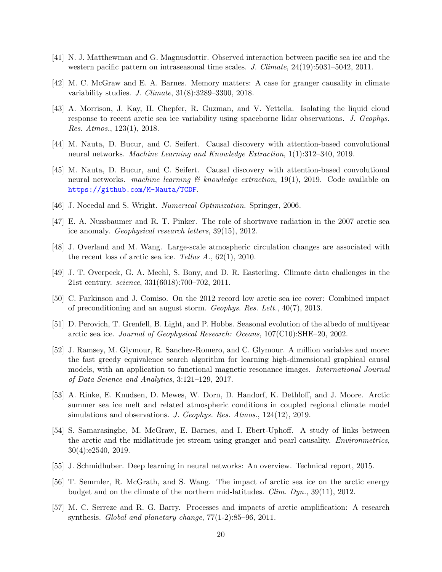- <span id="page-19-4"></span>[41] N. J. Matthewman and G. Magnusdottir. Observed interaction between pacific sea ice and the western pacific pattern on intraseasonal time scales. J. Climate,  $24(19):5031-5042$ ,  $2011$ .
- <span id="page-19-3"></span>[42] M. C. McGraw and E. A. Barnes. Memory matters: A case for granger causality in climate variability studies. J. Climate, 31(8):3289–3300, 2018.
- <span id="page-19-10"></span>[43] A. Morrison, J. Kay, H. Chepfer, R. Guzman, and V. Yettella. Isolating the liquid cloud response to recent arctic sea ice variability using spaceborne lidar observations. J. Geophys. Res. Atmos., 123(1), 2018.
- <span id="page-19-1"></span>[44] M. Nauta, D. Bucur, and C. Seifert. Causal discovery with attention-based convolutional neural networks. Machine Learning and Knowledge Extraction, 1(1):312–340, 2019.
- <span id="page-19-6"></span>[45] M. Nauta, D. Bucur, and C. Seifert. Causal discovery with attention-based convolutional neural networks. *machine learning*  $\mathcal{B}$  *knowledge extraction*, 19(1), 2019. Code available on <https://github.com/M-Nauta/TCDF>.
- <span id="page-19-16"></span>[46] J. Nocedal and S. Wright. *Numerical Optimization*. Springer, 2006.
- <span id="page-19-12"></span>[47] E. A. Nussbaumer and R. T. Pinker. The role of shortwave radiation in the 2007 arctic sea ice anomaly. Geophysical research letters, 39(15), 2012.
- <span id="page-19-7"></span>[48] J. Overland and M. Wang. Large-scale atmospheric circulation changes are associated with the recent loss of arctic sea ice. Tellus  $A_1$ , 62(1), 2010.
- <span id="page-19-2"></span>[49] J. T. Overpeck, G. A. Meehl, S. Bony, and D. R. Easterling. Climate data challenges in the 21st century. science, 331(6018):700–702, 2011.
- <span id="page-19-9"></span>[50] C. Parkinson and J. Comiso. On the 2012 record low arctic sea ice cover: Combined impact of preconditioning and an august storm. Geophys. Res. Lett., 40(7), 2013.
- <span id="page-19-13"></span>[51] D. Perovich, T. Grenfell, B. Light, and P. Hobbs. Seasonal evolution of the albedo of multiyear arctic sea ice. Journal of Geophysical Research: Oceans, 107(C10):SHE–20, 2002.
- <span id="page-19-15"></span>[52] J. Ramsey, M. Glymour, R. Sanchez-Romero, and C. Glymour. A million variables and more: the fast greedy equivalence search algorithm for learning high-dimensional graphical causal models, with an application to functional magnetic resonance images. International Journal of Data Science and Analytics, 3:121–129, 2017.
- <span id="page-19-8"></span>[53] A. Rinke, E. Knudsen, D. Mewes, W. Dorn, D. Handorf, K. Dethloff, and J. Moore. Arctic summer sea ice melt and related atmospheric conditions in coupled regional climate model simulations and observations. J. Geophys. Res. Atmos., 124(12), 2019.
- <span id="page-19-5"></span>[54] S. Samarasinghe, M. McGraw, E. Barnes, and I. Ebert-Uphoff. A study of links between the arctic and the midlatitude jet stream using granger and pearl causality. Environmetrics, 30(4):e2540, 2019.
- <span id="page-19-14"></span>[55] J. Schmidhuber. Deep learning in neural networks: An overview. Technical report, 2015.
- <span id="page-19-11"></span>[56] T. Semmler, R. McGrath, and S. Wang. The impact of arctic sea ice on the arctic energy budget and on the climate of the northern mid-latitudes. Clim. Dyn., 39(11), 2012.
- <span id="page-19-0"></span>[57] M. C. Serreze and R. G. Barry. Processes and impacts of arctic amplification: A research synthesis. Global and planetary change, 77(1-2):85–96, 2011.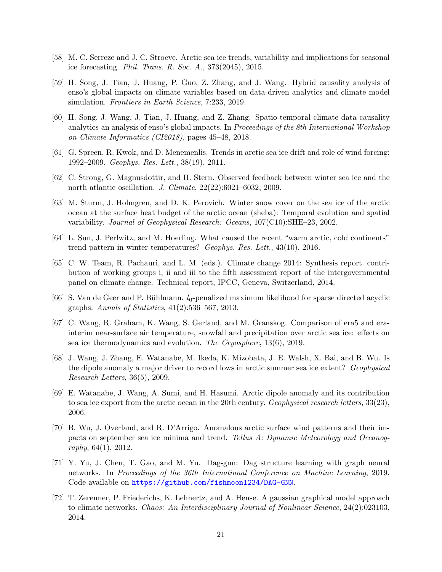- <span id="page-20-0"></span>[58] M. C. Serreze and J. C. Stroeve. Arctic sea ice trends, variability and implications for seasonal ice forecasting. Phil. Trans. R. Soc. A., 373(2045), 2015.
- <span id="page-20-3"></span>[59] H. Song, J. Tian, J. Huang, P. Guo, Z. Zhang, and J. Wang. Hybrid causality analysis of enso's global impacts on climate variables based on data-driven analytics and climate model simulation. Frontiers in Earth Science, 7:233, 2019.
- <span id="page-20-4"></span>[60] H. Song, J. Wang, J. Tian, J. Huang, and Z. Zhang. Spatio-temporal climate data causality analytics-an analysis of enso's global impacts. In Proceedings of the 8th International Workshop on Climate Informatics (CI2018), pages 45–48, 2018.
- <span id="page-20-8"></span>[61] G. Spreen, R. Kwok, and D. Menemenlis. Trends in arctic sea ice drift and role of wind forcing: 1992–2009. Geophys. Res. Lett., 38(19), 2011.
- <span id="page-20-6"></span>[62] C. Strong, G. Magnusdottir, and H. Stern. Observed feedback between winter sea ice and the north atlantic oscillation. J. Climate, 22(22):6021–6032, 2009.
- <span id="page-20-13"></span>[63] M. Sturm, J. Holmgren, and D. K. Perovich. Winter snow cover on the sea ice of the arctic ocean at the surface heat budget of the arctic ocean (sheba): Temporal evolution and spatial variability. Journal of Geophysical Research: Oceans, 107(C10):SHE–23, 2002.
- <span id="page-20-1"></span>[64] L. Sun, J. Perlwitz, and M. Hoerling. What caused the recent "warm arctic, cold continents" trend pattern in winter temperatures? Geophys. Res. Lett., 43(10), 2016.
- <span id="page-20-2"></span>[65] C. W. Team, R. Pachauri, and L. M. (eds.). Climate change 2014: Synthesis report. contribution of working groups i, ii and iii to the fifth assessment report of the intergovernmental panel on climate change. Technical report, IPCC, Geneva, Switzerland, 2014.
- <span id="page-20-14"></span>[66] S. Van de Geer and P. Bühlmann.  $l_0$ -penalized maximum likelihood for sparse directed acyclic graphs. Annals of Statistics, 41(2):536–567, 2013.
- <span id="page-20-10"></span>[67] C. Wang, R. Graham, K. Wang, S. Gerland, and M. Granskog. Comparison of era5 and erainterim near-surface air temperature, snowfall and precipitation over arctic sea ice: effects on sea ice thermodynamics and evolution. The Cryosphere, 13(6), 2019.
- <span id="page-20-11"></span>[68] J. Wang, J. Zhang, E. Watanabe, M. Ikeda, K. Mizobata, J. E. Walsh, X. Bai, and B. Wu. Is the dipole anomaly a major driver to record lows in arctic summer sea ice extent? Geophysical Research Letters, 36(5), 2009.
- <span id="page-20-12"></span>[69] E. Watanabe, J. Wang, A. Sumi, and H. Hasumi. Arctic dipole anomaly and its contribution to sea ice export from the arctic ocean in the 20th century. Geophysical research letters, 33(23), 2006.
- <span id="page-20-9"></span>[70] B. Wu, J. Overland, and R. D'Arrigo. Anomalous arctic surface wind patterns and their impacts on september sea ice minima and trend. Tellus A: Dynamic Meteorology and Oceanography, 64(1), 2012.
- <span id="page-20-7"></span>[71] Y. Yu, J. Chen, T. Gao, and M. Yu. Dag-gnn: Dag structure learning with graph neural networks. In Proceedings of the 36th International Conference on Machine Learning, 2019. Code available on <https://github.com/fishmoon1234/DAG-GNN>.
- <span id="page-20-5"></span>[72] T. Zerenner, P. Friederichs, K. Lehnertz, and A. Hense. A gaussian graphical model approach to climate networks. Chaos: An Interdisciplinary Journal of Nonlinear Science, 24(2):023103, 2014.